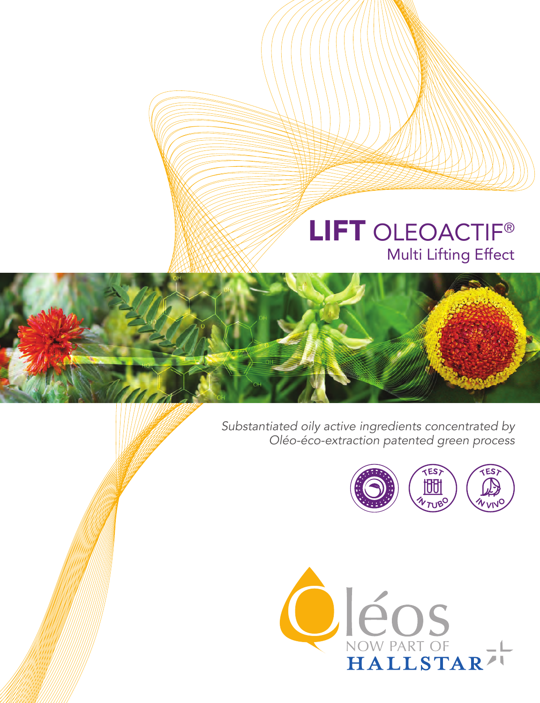# Multi Lifting Effect LIFT OLEOACTIF<sup>®</sup>

*Substantiated oily active ingredients concentrated by Oléo-éco-extraction patented green process*



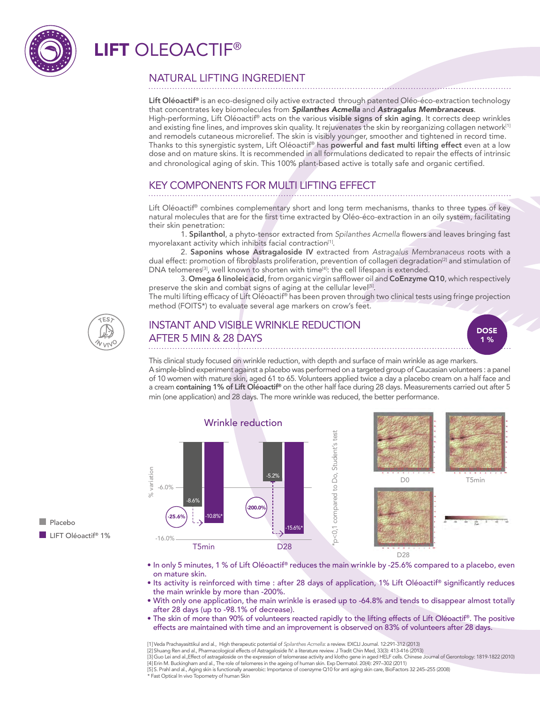

## LIFT OI FOACTIF®



Lift Oléoactif® is an eco-designed oily active extracted through patented Oléo-éco-extraction technology that concentrates key biomolecules from *Spilanthes Acmella* and *Astragalus Membranaceus*. High-performing, Lift Oléoactif® acts on the various visible signs of skin aging. It corrects deep wrinkles and existing fine lines, and improves skin quality. It rejuvenates the skin by reorganizing collagen network<sup>[1]</sup> and remodels cutaneous microrelief. The skin is visibly younger, smoother and tightened in record time. Thanks to this synergistic system, Lift Oléoactif® has powerful and fast multi lifting effect even at a low dose and on mature skins. It is recommended in all formulations dedicated to repair the effects of intrinsic and chronological aging of skin. This 100% plant-based active is totally safe and organic certified.

## KEY COMPONENTS FOR MULTI LIFTING EFFECT

Lift Oléoactif® combines complementary short and long term mechanisms, thanks to three types of key natural molecules that are for the first time extracted by Oléo-éco-extraction in an oily system, facilitating their skin penetration:

1. Spilanthol, a phyto-tensor extracted from *Spilanthes Acmella* flowers and leaves bringing fast myorelaxant activity which inhibits facial contraction<sup>[1]</sup>.

2. Saponins whose Astragaloside IV extracted from *Astragalus Membranaceus* roots with a dual effect: promotion of fibroblasts proliferation, prevention of collagen degradation<sup>[2]</sup> and stimulation of DNA telomeres<sup>[3]</sup>, well known to shorten with time<sup>[4]</sup>: the cell lifespan is extended.

3. Omega 6 linoleic acid, from organic virgin safflower oil and CoEnzyme Q10, which respectively preserve the skin and combat signs of aging at the cellular leve<sup>[5]</sup>.

The multi lifting efficacy of Lift Oléoactif® has been proven through two clinical tests using fringe projection method (FOITS\*) to evaluate several age markers on crow's feet.



**Placebo** 

LIFT Oléoactif® 1%

## INSTANT AND VISIBLE WRINKLE REDUCTION AFTER 5 MIN & 28 DAYS

**DOSE** 1 %

This clinical study focused on wrinkle reduction, with depth and surface of main wrinkle as age markers. A simple-blind experiment against a placebo was performed on a targeted group of Caucasian volunteers : a panel of 10 women with mature skin, aged 61 to 65. Volunteers applied twice a day a placebo cream on a half face and a cream containing 1% of Lift Oléoactif® on the other half face during 28 days. Measurements carried out after 5 min (one application) and 28 days. The more wrinkle was reduced, the better performance.



• In only 5 minutes, 1 % of Lift Oléoactif® reduces the main wrinkle by -25.6% compared to a placebo, even on mature skin.

- Its activity is reinforced with time : after 28 days of application, 1% Lift Oléoactif® significantly reduces the main wrinkle by more than -200%.
- With only one application, the main wrinkle is erased up to -64.8% and tends to disappear almost totally after 28 days (up to -98.1% of decrease).
- The skin of more than 90% of volunteers reacted rapidly to the lifting effects of Lift Oléoactif®. The positive effects are maintained with time and an improvement is observed on 83% of volunteers after 28 days.

[1] Veda Prachayasittikul and al., High therapeutic potential of *Spilanthes Acmella*: a review. EXCLI Journal. 12:291-312 (2013)

[2] Shuang Ren and al., Pharmacological effects of Astragaloside IV: a literature review. J Tradit Chin Med, 33(3): 413-416 (2013) [3] Guo Lei and al.,Effect of astragaloside on the expression of telomerase activity and klotho gene in aged HELF cells. Chinese Journal of Gerontology: 1819-1822 (2010)

[4] Erin M. Buckingham and al., The role of telomeres in the ageing of human skin. Exp Dermatol. 20(4): 297–302 (2011)

[5] S. Prahl and al., Aging skin is functionally anaerobic: Importance of coenzyme Q10 for anti aging skin care, BioFactors 32 245–255 (2008) \* Fast Optical In vivo Topometry of human Skin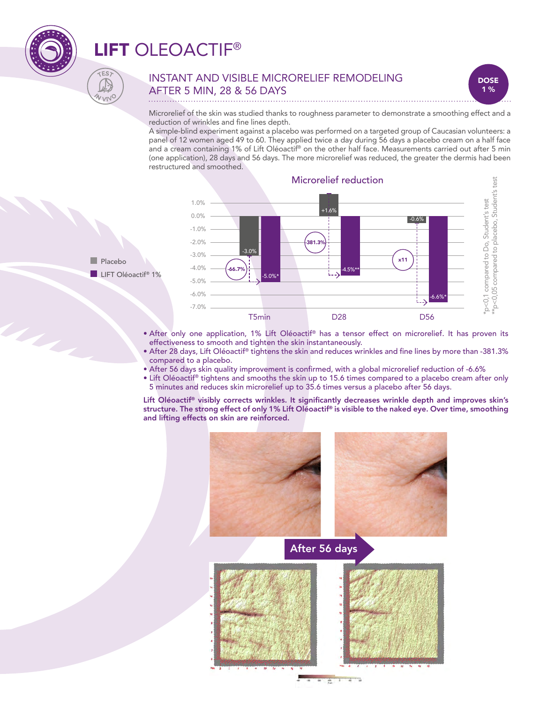

UL.

## LIFT OLEOACTIF®

### INSTANT AND VISIBLE MICRORELIEF REMODELING AFTER 5 MIN, 28 & 56 DAYS



Microrelief of the skin was studied thanks to roughness parameter to demonstrate a smoothing effect and a reduction of wrinkles and fine lines depth.

A simple-blind experiment against a placebo was performed on a targeted group of Caucasian volunteers: a panel of 12 women aged 49 to 60. They applied twice a day during 56 days a placebo cream on a half face and a cream containing 1% of Lift Oléoactif® on the other half face. Measurements carried out after 5 min (one application), 28 days and 56 days. The more microrelief was reduced, the greater the dermis had been restructured and smoothed.





CES<sup>.</sup>

 $v_{\rm UV}$ 

- After only one application, 1% Lift Oléoactif® has a tensor effect on microrelief. It has proven its effectiveness to smooth and tighten the skin instantaneously.
- After 28 days, Lift Oléoactif® tightens the skin and reduces wrinkles and fine lines by more than -381.3% compared to a placebo.
- After 56 days skin quality improvement is confirmed, with a global microrelief reduction of -6.6%
- Lift Oléoactif® tightens and smooths the skin up to 15.6 times compared to a placebo cream after only 5 minutes and reduces skin microrelief up to 35.6 times versus a placebo after 56 days.

Lift Oléoactif® visibly corrects wrinkles. It significantly decreases wrinkle depth and improves skin's structure. The strong effect of only 1% Lift Oléoactif® is visible to the naked eye. Over time, smoothing and lifting effects on skin are reinforced.